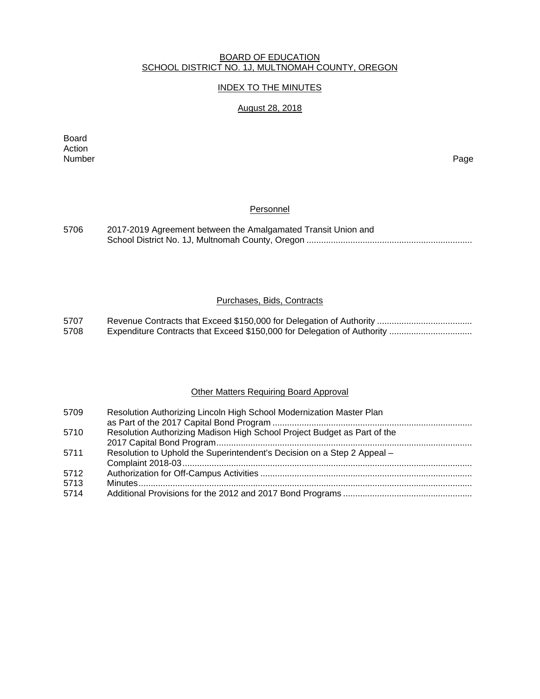#### BOARD OF EDUCATION SCHOOL DISTRICT NO. 1J, MULTNOMAH COUNTY, OREGON

# INDEX TO THE MINUTES

# August 28, 2018

Board Action<br>Number Number Page

#### Personnel

| 5706 | 2017-2019 Agreement between the Amalgamated Transit Union and |
|------|---------------------------------------------------------------|
|      |                                                               |

## Purchases, Bids, Contracts

5707 Revenue Contracts that Exceed \$150,000 for Delegation of Authority ....................................... 5708 Expenditure Contracts that Exceed \$150,000 for Delegation of Authority .................................

#### Other Matters Requiring Board Approval

| 5709         | Resolution Authorizing Lincoln High School Modernization Master Plan     |
|--------------|--------------------------------------------------------------------------|
| 5710         | Resolution Authorizing Madison High School Project Budget as Part of the |
| 5711         | Resolution to Uphold the Superintendent's Decision on a Step 2 Appeal -  |
| 5712         |                                                                          |
| 5713<br>5714 |                                                                          |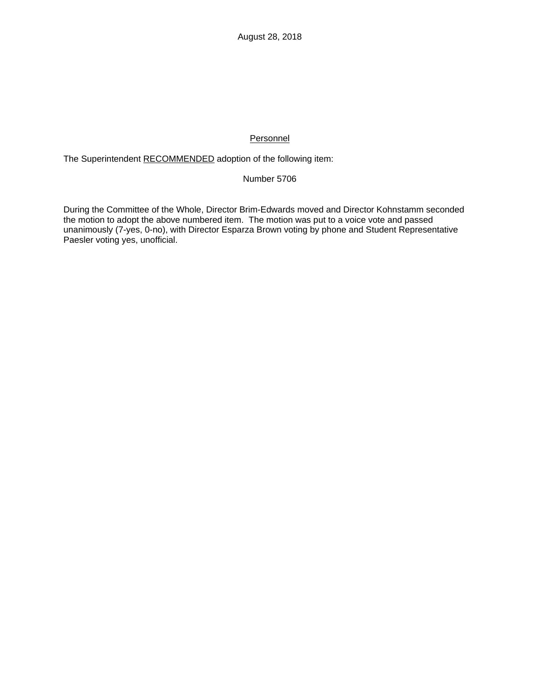# **Personnel**

The Superintendent RECOMMENDED adoption of the following item:

# Number 5706

During the Committee of the Whole, Director Brim-Edwards moved and Director Kohnstamm seconded the motion to adopt the above numbered item. The motion was put to a voice vote and passed unanimously (7-yes, 0-no), with Director Esparza Brown voting by phone and Student Representative Paesler voting yes, unofficial.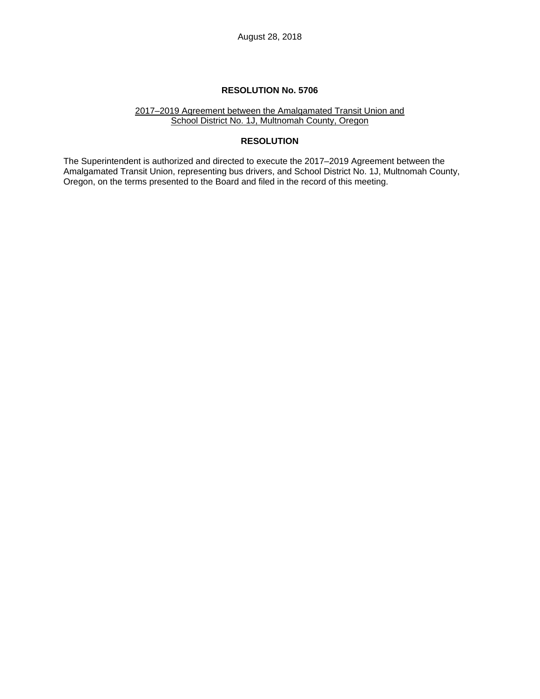#### 2017–2019 Agreement between the Amalgamated Transit Union and School District No. 1J, Multnomah County, Oregon

# **RESOLUTION**

The Superintendent is authorized and directed to execute the 2017–2019 Agreement between the Amalgamated Transit Union, representing bus drivers, and School District No. 1J, Multnomah County, Oregon, on the terms presented to the Board and filed in the record of this meeting.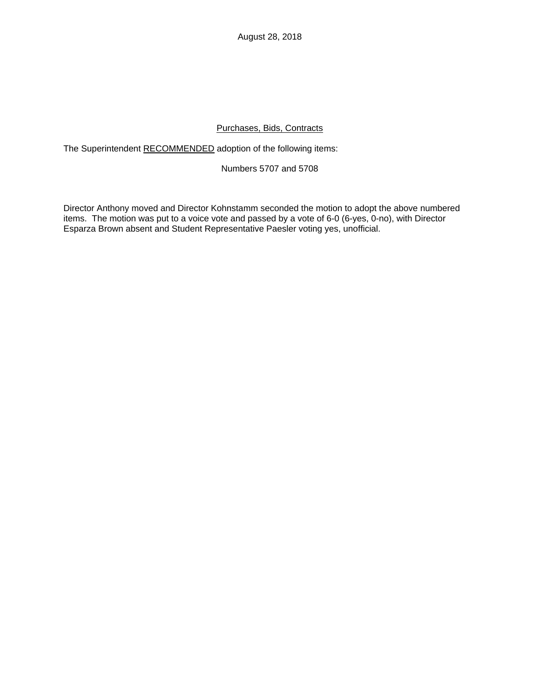August 28, 2018

# Purchases, Bids, Contracts

The Superintendent RECOMMENDED adoption of the following items:

# Numbers 5707 and 5708

Director Anthony moved and Director Kohnstamm seconded the motion to adopt the above numbered items. The motion was put to a voice vote and passed by a vote of 6-0 (6-yes, 0-no), with Director Esparza Brown absent and Student Representative Paesler voting yes, unofficial.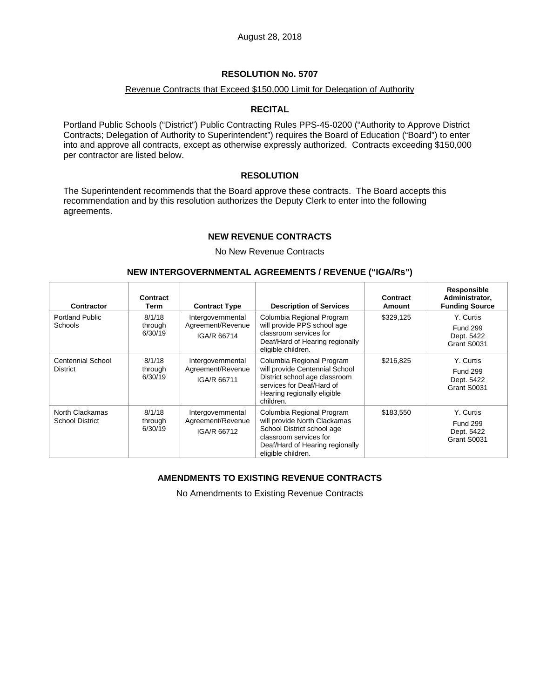### Revenue Contracts that Exceed \$150,000 Limit for Delegation of Authority

### **RECITAL**

Portland Public Schools ("District") Public Contracting Rules PPS-45-0200 ("Authority to Approve District Contracts; Delegation of Authority to Superintendent") requires the Board of Education ("Board") to enter into and approve all contracts, except as otherwise expressly authorized. Contracts exceeding \$150,000 per contractor are listed below.

### **RESOLUTION**

The Superintendent recommends that the Board approve these contracts. The Board accepts this recommendation and by this resolution authorizes the Deputy Clerk to enter into the following agreements.

## **NEW REVENUE CONTRACTS**

No New Revenue Contracts

### **NEW INTERGOVERNMENTAL AGREEMENTS / REVENUE ("IGA/Rs")**

| Contractor                                  | Contract<br>Term             | <b>Contract Type</b>                                  | <b>Description of Services</b>                                                                                                                                             | Contract<br>Amount | Responsible<br>Administrator,<br><b>Funding Source</b>    |
|---------------------------------------------|------------------------------|-------------------------------------------------------|----------------------------------------------------------------------------------------------------------------------------------------------------------------------------|--------------------|-----------------------------------------------------------|
| <b>Portland Public</b><br><b>Schools</b>    | 8/1/18<br>through<br>6/30/19 | Intergovernmental<br>Agreement/Revenue<br>IGA/R 66714 | Columbia Regional Program<br>will provide PPS school age<br>classroom services for<br>Deaf/Hard of Hearing regionally<br>eligible children.                                | \$329,125          | Y. Curtis<br><b>Fund 299</b><br>Dept. 5422<br>Grant S0031 |
| <b>Centennial School</b><br><b>District</b> | 8/1/18<br>through<br>6/30/19 | Intergovernmental<br>Agreement/Revenue<br>IGA/R 66711 | Columbia Regional Program<br>will provide Centennial School<br>District school age classroom<br>services for Deaf/Hard of<br>Hearing regionally eligible<br>children.      | \$216,825          | Y. Curtis<br><b>Fund 299</b><br>Dept. 5422<br>Grant S0031 |
| North Clackamas<br><b>School District</b>   | 8/1/18<br>through<br>6/30/19 | Intergovernmental<br>Agreement/Revenue<br>IGA/R 66712 | Columbia Regional Program<br>will provide North Clackamas<br>School District school age<br>classroom services for<br>Deaf/Hard of Hearing regionally<br>eligible children. | \$183,550          | Y. Curtis<br><b>Fund 299</b><br>Dept. 5422<br>Grant S0031 |

# **AMENDMENTS TO EXISTING REVENUE CONTRACTS**

No Amendments to Existing Revenue Contracts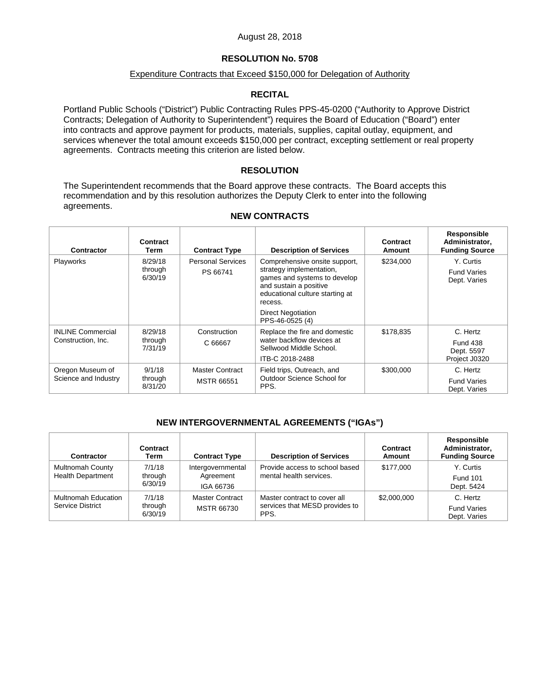### August 28, 2018

# **RESOLUTION No. 5708**

### Expenditure Contracts that Exceed \$150,000 for Delegation of Authority

## **RECITAL**

Portland Public Schools ("District") Public Contracting Rules PPS-45-0200 ("Authority to Approve District Contracts; Delegation of Authority to Superintendent") requires the Board of Education ("Board") enter into contracts and approve payment for products, materials, supplies, capital outlay, equipment, and services whenever the total amount exceeds \$150,000 per contract, excepting settlement or real property agreements. Contracts meeting this criterion are listed below.

### **RESOLUTION**

The Superintendent recommends that the Board approve these contracts. The Board accepts this recommendation and by this resolution authorizes the Deputy Clerk to enter into the following agreements.

| Contractor                                     | Contract<br>Term              | <b>Contract Type</b>                 | <b>Description of Services</b>                                                                                                                                    | Contract<br>Amount | Responsible<br>Administrator,<br><b>Funding Source</b>     |
|------------------------------------------------|-------------------------------|--------------------------------------|-------------------------------------------------------------------------------------------------------------------------------------------------------------------|--------------------|------------------------------------------------------------|
| Playworks                                      | 8/29/18<br>through<br>6/30/19 | <b>Personal Services</b><br>PS 66741 | Comprehensive onsite support,<br>strategy implementation,<br>games and systems to develop<br>and sustain a positive<br>educational culture starting at<br>recess. | \$234,000          | Y. Curtis<br><b>Fund Varies</b><br>Dept. Varies            |
|                                                |                               |                                      | <b>Direct Negotiation</b><br>PPS-46-0525 (4)                                                                                                                      |                    |                                                            |
| <b>INLINE Commercial</b><br>Construction, Inc. | 8/29/18<br>through<br>7/31/19 | Construction<br>C 66667              | Replace the fire and domestic<br>water backflow devices at<br>Sellwood Middle School.<br>ITB-C 2018-2488                                                          | \$178,835          | C. Hertz<br><b>Fund 438</b><br>Dept. 5597<br>Project J0320 |
| Oregon Museum of<br>Science and Industry       | 9/1/18<br>through<br>8/31/20  | Master Contract<br><b>MSTR 66551</b> | Field trips, Outreach, and<br>Outdoor Science School for<br>PPS.                                                                                                  | \$300,000          | C. Hertz<br><b>Fund Varies</b><br>Dept. Varies             |

#### **NEW CONTRACTS**

# **NEW INTERGOVERNMENTAL AGREEMENTS ("IGAs")**

| <b>Contractor</b>                                   | Contract<br>Term             | <b>Contract Type</b>                        | <b>Description of Services</b>                                         | Contract<br>Amount | Responsible<br>Administrator,<br><b>Funding Source</b> |
|-----------------------------------------------------|------------------------------|---------------------------------------------|------------------------------------------------------------------------|--------------------|--------------------------------------------------------|
| <b>Multnomah County</b><br><b>Health Department</b> | 7/1/18<br>through<br>6/30/19 | Intergovernmental<br>Agreement<br>IGA 66736 | Provide access to school based<br>mental health services.              | \$177,000          | Y. Curtis<br><b>Fund 101</b><br>Dept. 5424             |
| Multnomah Education<br><b>Service District</b>      | 7/1/18<br>through<br>6/30/19 | <b>Master Contract</b><br>MSTR 66730        | Master contract to cover all<br>services that MESD provides to<br>PPS. | \$2,000,000        | C. Hertz<br><b>Fund Varies</b><br>Dept. Varies         |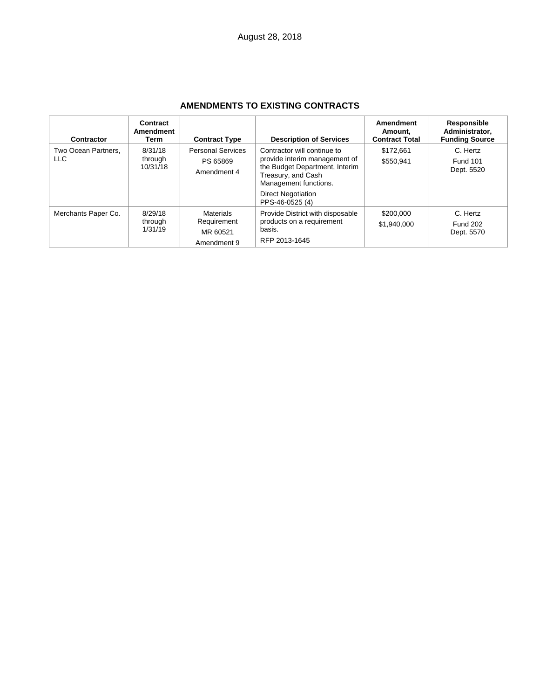| Contractor                  | Contract<br>Amendment<br>Term  | <b>Contract Type</b>                                       | <b>Description of Services</b>                                                                                                                                                                | Amendment<br>Amount,<br><b>Contract Total</b> | Responsible<br>Administrator,<br><b>Funding Source</b> |
|-----------------------------|--------------------------------|------------------------------------------------------------|-----------------------------------------------------------------------------------------------------------------------------------------------------------------------------------------------|-----------------------------------------------|--------------------------------------------------------|
| Two Ocean Partners.<br>LLC. | 8/31/18<br>through<br>10/31/18 | <b>Personal Services</b><br>PS 65869<br>Amendment 4        | Contractor will continue to<br>provide interim management of<br>the Budget Department, Interim<br>Treasury, and Cash<br>Management functions.<br><b>Direct Negotiation</b><br>PPS-46-0525 (4) | \$172.661<br>\$550,941                        | C. Hertz<br><b>Fund 101</b><br>Dept. 5520              |
| Merchants Paper Co.         | 8/29/18<br>through<br>1/31/19  | <b>Materials</b><br>Requirement<br>MR 60521<br>Amendment 9 | Provide District with disposable<br>products on a requirement<br>basis.<br>RFP 2013-1645                                                                                                      | \$200,000<br>\$1,940,000                      | C. Hertz<br><b>Fund 202</b><br>Dept. 5570              |

# **AMENDMENTS TO EXISTING CONTRACTS**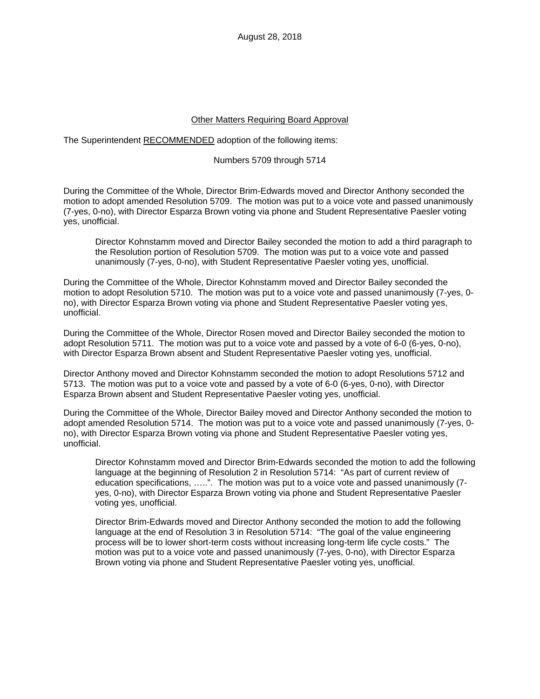### **Other Matters Requiring Board Approval**

### The Superintendent RECOMMENDED adoption of the following items:

### Numbers 5709 through 5714

During the Committee of the Whole, Director Brim-Edwards moved and Director Anthony seconded the motion to adopt amended Resolution 5709. The motion was put to a voice vote and passed unanimously (7-yes, 0-no), with Director Esparza Brown voting via phone and Student Representative Paesler voting yes, unofficial.

Director Kohnstamm moved and Director Bailey seconded the motion to add a third paragraph to the Resolution portion of Resolution 5709. The motion was put to a voice vote and passed unanimously (7-yes, 0-no), with Student Representative Paesler voting yes, unofficial.

During the Committee of the Whole, Director Kohnstamm moved and Director Bailey seconded the motion to adopt Resolution 5710. The motion was put to a voice vote and passed unanimously (7-yes, 0 no), with Director Esparza Brown voting via phone and Student Representative Paesler voting yes, unofficial.

During the Committee of the Whole, Director Rosen moved and Director Bailey seconded the motion to adopt Resolution 5711. The motion was put to a voice vote and passed by a vote of 6-0 (6-yes, 0-no), with Director Esparza Brown absent and Student Representative Paesler voting yes, unofficial.

Director Anthony moved and Director Kohnstamm seconded the motion to adopt Resolutions 5712 and 5713. The motion was put to a voice vote and passed by a vote of 6-0 (6-yes, 0-no), with Director Esparza Brown absent and Student Representative Paesler voting yes, unofficial.

During the Committee of the Whole, Director Bailey moved and Director Anthony seconded the motion to adopt amended Resolution 5714. The motion was put to a voice vote and passed unanimously (7-yes, 0 no), with Director Esparza Brown voting via phone and Student Representative Paesler voting yes, unofficial.

Director Kohnstamm moved and Director Brim-Edwards seconded the motion to add the following language at the beginning of Resolution 2 in Resolution 5714: "As part of current review of education specifications, …..". The motion was put to a voice vote and passed unanimously (7 yes, 0-no), with Director Esparza Brown voting via phone and Student Representative Paesler voting yes, unofficial.

Director Brim-Edwards moved and Director Anthony seconded the motion to add the following language at the end of Resolution 3 in Resolution 5714: "The goal of the value engineering process will be to lower short-term costs without increasing long-term life cycle costs." The motion was put to a voice vote and passed unanimously (7-yes, 0-no), with Director Esparza Brown voting via phone and Student Representative Paesler voting yes, unofficial.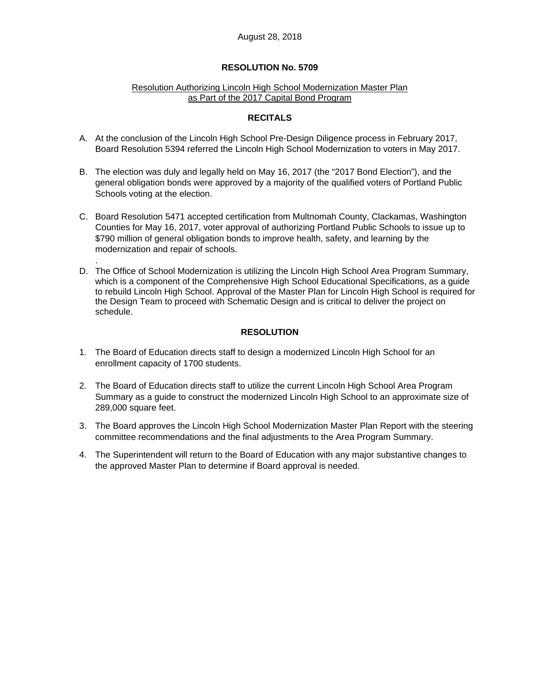### Resolution Authorizing Lincoln High School Modernization Master Plan as Part of the 2017 Capital Bond Program

## **RECITALS**

- A. At the conclusion of the Lincoln High School Pre-Design Diligence process in February 2017, Board Resolution 5394 referred the Lincoln High School Modernization to voters in May 2017.
- B. The election was duly and legally held on May 16, 2017 (the "2017 Bond Election"), and the general obligation bonds were approved by a majority of the qualified voters of Portland Public Schools voting at the election.
- C. Board Resolution 5471 accepted certification from Multnomah County, Clackamas, Washington Counties for May 16, 2017, voter approval of authorizing Portland Public Schools to issue up to \$790 million of general obligation bonds to improve health, safety, and learning by the modernization and repair of schools.
- D. The Office of School Modernization is utilizing the Lincoln High School Area Program Summary, which is a component of the Comprehensive High School Educational Specifications, as a guide to rebuild Lincoln High School. Approval of the Master Plan for Lincoln High School is required for the Design Team to proceed with Schematic Design and is critical to deliver the project on schedule.

# **RESOLUTION**

1. The Board of Education directs staff to design a modernized Lincoln High School for an enrollment capacity of 1700 students.

.

- 2. The Board of Education directs staff to utilize the current Lincoln High School Area Program Summary as a guide to construct the modernized Lincoln High School to an approximate size of 289,000 square feet.
- 3. The Board approves the Lincoln High School Modernization Master Plan Report with the steering committee recommendations and the final adjustments to the Area Program Summary.
- 4. The Superintendent will return to the Board of Education with any major substantive changes to the approved Master Plan to determine if Board approval is needed.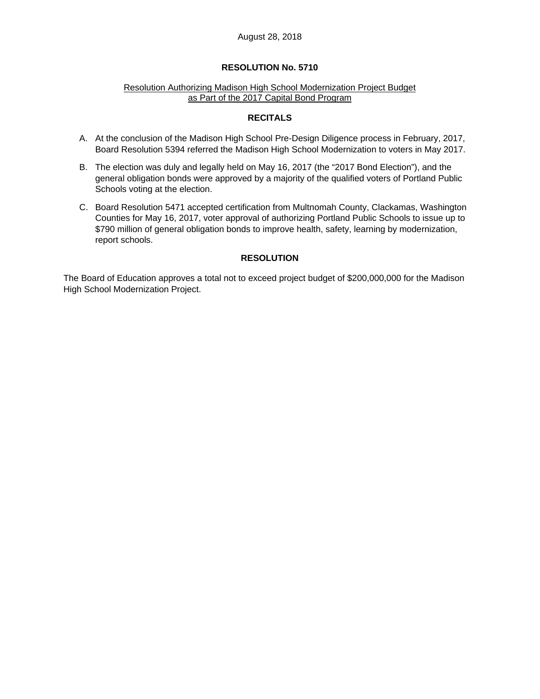### August 28, 2018

### **RESOLUTION No. 5710**

#### Resolution Authorizing Madison High School Modernization Project Budget as Part of the 2017 Capital Bond Program

### **RECITALS**

- A. At the conclusion of the Madison High School Pre-Design Diligence process in February, 2017, Board Resolution 5394 referred the Madison High School Modernization to voters in May 2017.
- B. The election was duly and legally held on May 16, 2017 (the "2017 Bond Election"), and the general obligation bonds were approved by a majority of the qualified voters of Portland Public Schools voting at the election.
- C. Board Resolution 5471 accepted certification from Multnomah County, Clackamas, Washington Counties for May 16, 2017, voter approval of authorizing Portland Public Schools to issue up to \$790 million of general obligation bonds to improve health, safety, learning by modernization, report schools.

### **RESOLUTION**

The Board of Education approves a total not to exceed project budget of \$200,000,000 for the Madison High School Modernization Project.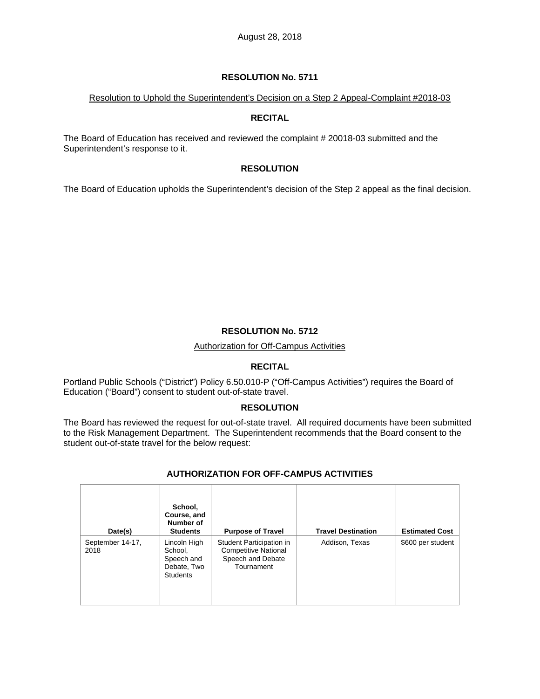## Resolution to Uphold the Superintendent's Decision on a Step 2 Appeal-Complaint #2018-03

## **RECITAL**

The Board of Education has received and reviewed the complaint # 20018-03 submitted and the Superintendent's response to it.

# **RESOLUTION**

The Board of Education upholds the Superintendent's decision of the Step 2 appeal as the final decision.

# **RESOLUTION No. 5712**

### Authorization for Off-Campus Activities

# **RECITAL**

Portland Public Schools ("District") Policy 6.50.010-P ("Off-Campus Activities") requires the Board of Education ("Board") consent to student out-of-state travel.

# **RESOLUTION**

The Board has reviewed the request for out-of-state travel. All required documents have been submitted to the Risk Management Department. The Superintendent recommends that the Board consent to the student out-of-state travel for the below request:

| Date(s)                  | School,<br>Course, and<br>Number of<br><b>Students</b>                  | <b>Purpose of Travel</b>                                                                   | <b>Travel Destination</b> | <b>Estimated Cost</b> |
|--------------------------|-------------------------------------------------------------------------|--------------------------------------------------------------------------------------------|---------------------------|-----------------------|
| September 14-17,<br>2018 | Lincoln High<br>School,<br>Speech and<br>Debate, Two<br><b>Students</b> | Student Participation in<br><b>Competitive National</b><br>Speech and Debate<br>Tournament | Addison, Texas            | \$600 per student     |

# **AUTHORIZATION FOR OFF-CAMPUS ACTIVITIES**